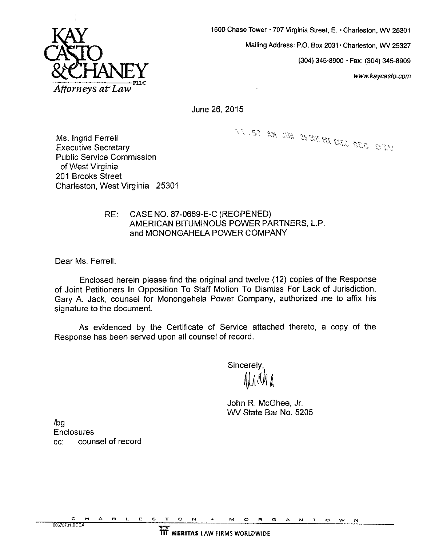

**1500 Chase Tower** 707 **Virginia Street, E. Charleston, WV 25301** 

**Mailing Address: P.O. Box 2031** \* **Charleston, WV 25327** 

**(304) 345-8900 Fax: (304) 345-8909** 

**[www.kaycasto.com](http://www.kaycasto.com)** 

June 26,2015

MIST AM JUN 262015 POCENED SEC DIEV

Ms. Ingrid Ferrell Executive Secretary Public Service Commission of West Virginia 201 Brooks Street Charleston, West Virginia 25301

## RE: CASE NO, 87-0669-E-C (REOPENED) AMERICAN BITUMINOUS POWER PARTNERS, L.P and MONONGAHELA POWER COMPANY

Dear Ms. Ferrell:

Enclosed herein please find the original and twelve **(12)** copies of the Response of Joint Petitioners In Opposition To Staff Motion To Dismiss For Lack of Jurisdiction. Gary A. Jack, counsel for Monongahela Power Company, authorized me to affix his signature to the document.

As evidenced by the Certificate of Service attached thereto, a copy of the Response has been served upon all counsel of record.

**Sincerely** 

John R. McGhee, Jr. WV State Bar No. 5205

/bg **Enclosures** cc: counsel of record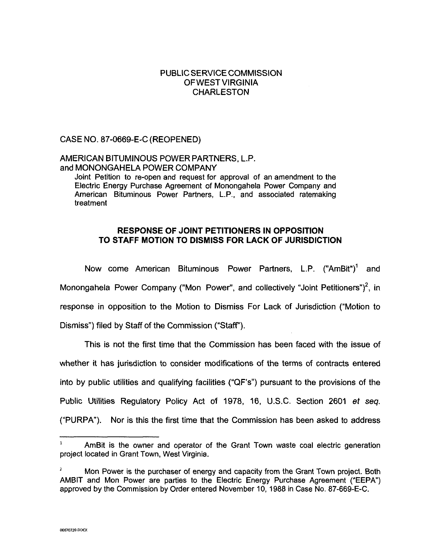## PUBLIC SERVICE COMMISSION OFWESTVlRGlNlA CHARLESTON

CASE NO. 87-0669-E-C (REOPENED)

# AMERICAN BITUMINOUS POWER PARTNERS, L.P. and MONONGAHELA POWER COMPANY

Joint Petition to re-open and request for approval of an amendment to the Electric Energy Purchase Agreement of Monongahela Power Company and American Bituminous Power Partners, L.P., and associated ratemaking treatment

## **RESPONSE OF JOINT PETITIONERS IN OPPOSITION TO STAFF MOTION TO DISMISS FOR LACK OF JURISDICTION**

Now come American Bituminous Power Partners, L.P. ("AmBit")' and Monongahela Power Company ("Mon Power", and collectively "Joint Petitioners")<sup>2</sup>, in response in opposition to the Motion to Dismiss For Lack of Jurisdiction ("Motion to Dismiss") filed by Staff of the Commission ("Staff").

This is not the first time that the Commission has been faced with the issue of whether it has jurisdiction to consider modifications of the terms of contracts entered into by public utilities and qualifying facilities ("QF's") pursuant to the provisions of the Public Utilities Regulatory Policy Act of 1978, 16, U.S.C. Section 2601 *et* seq. ("PURPA). Nor is this the first time that the Commission has been asked to address

AmBit is the owner and operator of the Grant Town waste coal electric generation **<sup>1</sup>** project located in Grant Town, West Virginia.

Mon Power **is** the purchaser of energy and capacity from the Grant Town project. Both AMBIT and Mon Power are parties to the Electric Energy Purchase Agreement ("EEPA") approved by the Commission by Order entered November 10, 1988 in Case No. 87-669-E-C. *2*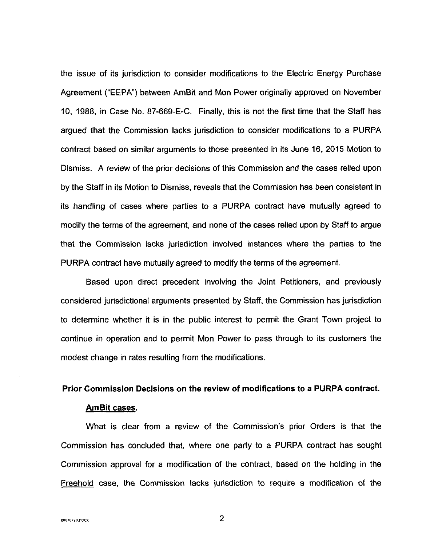the issue of its jurisdiction to consider modifications to the Electric Energy Purchase Agreement ("EEPA") between AmBit and Mon Power originally approved on November 10, 1988, in Case No. 87-669-E-C. Finally, this is not the first time that the Staff has argued that the Commission lacks jurisdiction to consider modifications to a PURPA contract based on similar arguments to those presented in its June 16, **2015** Motion to Dismiss. A review of the prior decisions of this Commission and the cases relied upon by the Staff in its Motion to Dismiss, reveals that the Commission has been consistent in its handling of cases where parties to a PURPA contract have mutually agreed to modify the terms of the agreement, and none of the cases relied upon by Staff to argue that the Commission lacks jurisdiction involved instances where the parties to the PURPA contract have mutually agreed to modify the terms of the agreement.

Based upon direct precedent involving the Joint Petitioners, and previously considered jurisdictional arguments presented by Staff, the Commission has jurisdiction to determine whether it is in the public interest to permit the Grant Town project to continue in operation and to permit Mon Power to pass through to its customers the modest change in rates resulting from the modifications.

#### **Prior Commission Decisions on the review of modifications to a PURPA contract.**

### **AmBit cases.**

What is clear from a review of the Commission's prior Orders is that the Commission has concluded that, where one party to a PURPA contract has sought Commission approval for a modification of the contract, based on the holding in the Freehold case, the Commission lacks jurisdiction to require a modification of the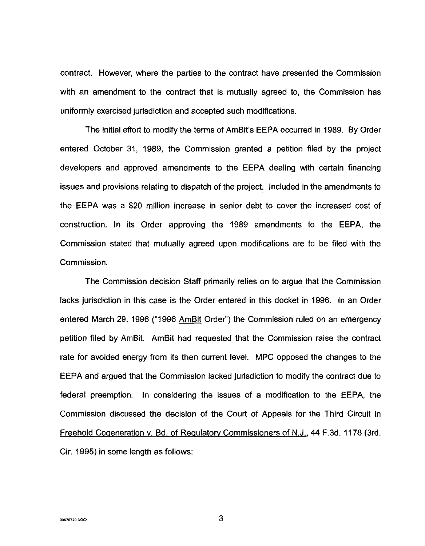contract. However, where the parties to the contract have presented the Commission with an amendment to the contract that is mutually agreed to, the Commission has uniformly exercised jurisdiction and accepted such modifications.

The initial effort to modify the terms of AmBit's EEPA occurred in 1989. By Order entered October 31, 1989, the Commission granted a petition filed by the project developers and approved amendments to the EEPA dealing with certain financing issues and provisions relating to dispatch of the project. Included in the amendments to the EEPA was a \$20 million increase in senior debt to cover the increased cost of construction. In its Order approving the 1989 amendments to the EEPA, the Commission stated that mutually agreed upon modifications are to be filed with the Commission.

The Commission decision Staff primarily relies on to argue that the Commission lacks jurisdiction in this case is the Order entered in this docket in 1996. In an Order entered March 29, 1996 ("1996 AmBit Order") the Commission ruled on an emergency petition filed by AmBit. AmBit had requested that the Commission raise the contract rate for avoided energy from its then current level. MPC opposed the changes to the EEPA and argued that the Commission lacked jurisdiction to modify the contract due to federal preemption. In considering the issues of a modification to the EEPA, the Commission discussed the decision of the Court of Appeals for the Third Circuit in Freehold Coqeneration v. Bd. of Reaulatow Commissioners of N.J., **44** F.3d. 1178 (3rd. Cir. 1995) in some length as follows: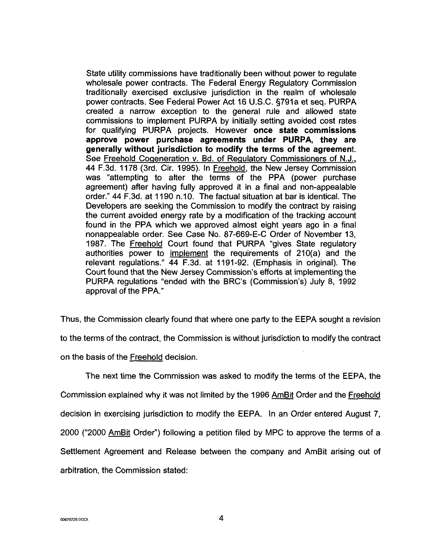<span id="page-4-0"></span>State utility commissions have traditionally been without power to regulate wholesale power contracts. The Federal Energy Regulatory Commission traditionally exercised exclusive jurisdiction in the realm of wholesale power contracts. See Federal Power Act 16 U.S.C. 5791a et seq. PURPA created a narrow exception to the general rule and allowed state commissions to implement PURPA by initially setting avoided cost rates for qualifying PURPA projects. However **once state commissions approve power purchase agreements under PURPA, they are generally without jurisdiction to modify the terms of the agreement.**  See Freehold Cogeneration v. Bd. of Regulatory Commissioners of N.J., **44** F.3d. 1178 (3rd. Cir. 1995). In Freehold, the New Jersey Commission was "attempting to alter the terms of the PPA (power purchase agreement) after having fully approved it in a final and non-appealable order." 44 F.3d. at 1190 n.10. The factual situation at bar is identical. The Developers are seeking the Commission to modrfy the contract by raising the current avoided energy rate by a modification of the tracking account found in the PPA which we approved almost eight years ago in a final nonappealable order. See Case No. 87-669-E-C Order of November 13, 1987. The Freehold Court found that PURPA "gives State regulatory authorities power to imolement the requirements of 210(a) and the relevant regulations." **44** F.3d. at 1191-92. (Emphasis in original). The Court found that the New Jersey Commission's efforts at implementing the PURPA regulations "ended with the BRC's (Commission's) July 8, 1992 approval of the PPA."

Thus, the Commission clearly found that where one party to the EEPA sought a revision to the terms of the contract, the Commission is without jurisdiction to modify the contract on the basis of the Freehold decision.

The next time the Commission was asked to modify the terms of the EEPA, the Commission explained why it was not limited by the 1996 *AmBit* Order and the Freehold decision in exercising jurisdiction to modify the EEPA. In an Order entered August 7, 2000 ("2000 *AmBit* Order") following a petition filed by MPC to approve the terms of a Settlement Agreement and Release between the company and AmBit arising out of arbitration. the Commission stated: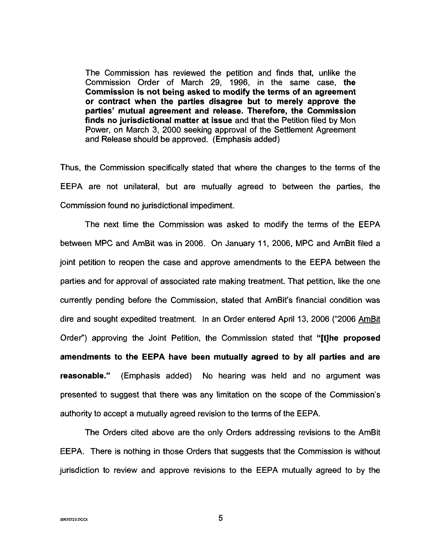The Commission has reviewed the petition and finds that, unlike the Commission Order of March 29, 1996, in the same case, **the Commission is not being asked to modify the terms of an agreement or contract when the parties disagree but to merely approve the parties' mutual agreement and release. Therefore, the Commission finds no jurisdictional matter at issue** and that the Petition filed by Mon Power, on March 3, 2000 seeking approval of the Settlement Agreement and Release should be approved. (Emphasis added)

Thus, the Commission specifically stated that where the changes to the terms of the EEPA are not unilateral, but are mutually agreed to between the parties, the Commission found no jurisdictional impediment.

The next time the Commission was asked to modify the terms of the EEPA between MPC and AmBit was in 2006. On January 11, 2006, MPC and AmBit filed a joint petition to reopen the case and approve amendments to the EEPA between the parties and for approval of associated rate making treatment. That petition, like the one currently pending before the Commission, stated that AmBit's financial condition was dire and sought expedited treatment. In an Order entered April 13, 2006 ("2006 *AmBit*  Order") approving the Joint Petition, the Commission stated that **"[tlhe proposed amendments to the EEPA have been mutually agreed to by all parties and are reasonable."** (Emphasis added) No hearing was held and no argument was presented to suggest that there was any limitation on the scope of the Commission's authority to accept a mutually agreed revision to the terms of the EEPA.

The Orders cited above are the only Orders addressing revisions to the AmBit EEPA. There is nothing in those Orders that suggests that the Commission is without jurisdiction to review and approve revisions to the EEPA mutually agreed to by the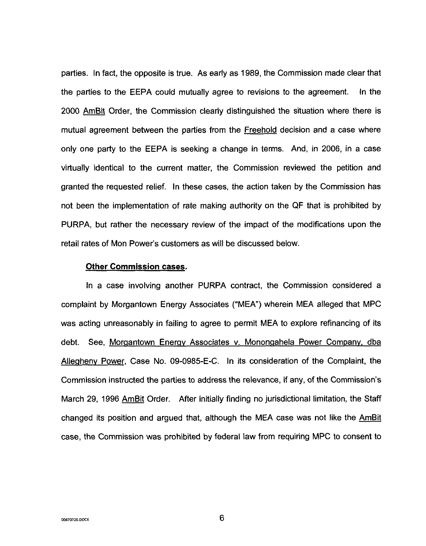parties. In fact, the opposite is true. As early as 1989, the Commission made clear that the parties to the EEPA could mutually agree to revisions to the agreement. In the 2000 AmBit Order, the Commission clearly distinguished the situation where there is mutual agreement between the parties from the Freehold decision and a case where only one party to the EEPA is seeking a change in terms. And, in 2006, in a case virtually identical to the current matter, the Commission reviewed the petition and granted the requested relief. In these cases, the action taken by the Commission has not been the implementation of rate making authority on the **QF** that is prohibited by PURPA, but rather the necessary review of the impact of the modifications upon the retail rates of Mon Power's customers as will be discussed below.

### **Other Commission cases.**

In a case involving another PURPA contract, the Commission considered a complaint by Morgantown Energy Associates ("MEA) wherein MEA alleged that MPC was acting unreasonably in failing to agree to permit MEA to explore refinancing of its debt. See, Morgantown Energy Associates v. Monongahela Power Company, dba Allegheny Power, Case No. 09-0985-E-C. In its consideration of the Complaint, the Commission instructed the parties to address the relevance, if any, of the Commission's March 29, 1996 AmBit Order. After initially finding no jurisdictional limitation, the Staff changed its position and argued that, although the MEA case was not like the **AmBit** case, the Commission was prohibited by federal law from requiring MPC to consent to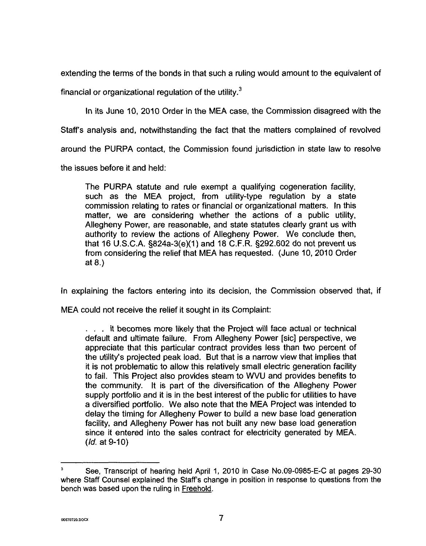extending the terms of the bonds in that such a ruling would amount to the equivalent of

financial or organizational regulation of the utility. $3$ 

In its June IO, 2010 Order in the MEA case, the Commission disagreed with the

Staff's analysis and, notwithstanding the fact that the matters complained of revolved

around the PURPA contact, the Commission found jurisdiction in state law to resolve

the issues before it and held:

The PURPA statute and rule exempt a qualifying cogeneration facility, such as the MEA project, from utility-type regulation by a state commission relating to rates or financial or organizational matters. In this matter, we are considering whether the actions of a public utility, Allegheny Power, are reasonable, and state statutes clearly grant **us** with authority to review the actions of Allegheny Power. We conclude then, that **16** U.S.C.A. §824a-3(e)(l) and 18 C.F.R. S292.602 do not prevent us from considering the relief that MEA has requested. (June **IO,** 2010 Order at 8.)

In explaining the factors entering into its decision, the Commission observed that, if

MEA could not receive the relief it sought in its Complaint:

. . . it becomes more likely that the Project will face actual or technical default and ultimate failure. From Allegheny Power [sic] perspective, we appreciate that this particular contract provides less than two percent of the utility's projected peak load. But that is a narrow view that implies that it is not problematic to allow this relatively small electric generation facility to fail. This Project also provides steam to WVU and provides benefits to the community. It is part of the diversification of the Allegheny Power supply portfolio and it is in the best interest of the public for utilities to have a diversified portfolio. We also note that the MEA Project was intended to delay the timing for Allegheny Power to build a new base load generation facility, and Allegheny Power has not built any new base load generation since it entered into the sales contract for electricity generated by MEA. *(Id.* at 9-10)

See, Transcript of hearing held April 1, 2010 in Case No.09-0985-E-C at pages 29-30 where Staff Counsel explained the Staff's change in position in response to questions from the bench was based upon the ruling in Freehold. **3**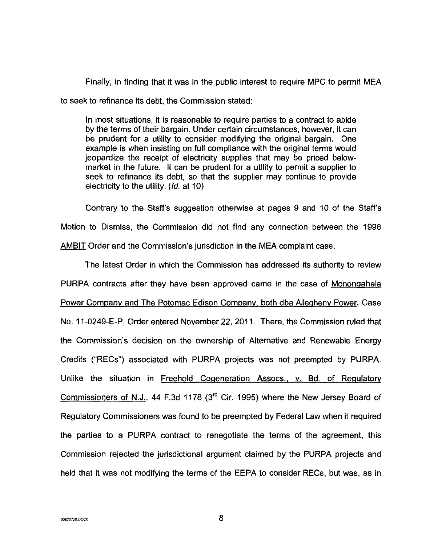Finally, in finding that it was in the public interest to require MPC to permit MEA to seek to refinance its debt, the Commission stated:

In most situations, it is reasonable to require parties to a contract to abide by the terms of their bargain. Under certain circumstances, however, it can be prudent for a utility to consider modifying the original bargain. One example is when insisting on full compliance with the original terms would jeopardize the receipt of electricity supplies that may be priced belowmarket in the future. It can be prudent for a utility to permit a supplier to seek to refinance its debt, so that the supplier may continue to provide electricity to the utility. *(/d.* at IO)

Contrary to the Staff's suggestion otherwise at pages 9 and 10 of the Staff's Motion to Dismiss, the Commission did not find any connection between the 1996 AMBIT Order and the Commission's jurisdiction in the MEA complaint case.

The latest Order in which the Commission has addressed its authority to review PURPA contracts after they have been approved came in the case of Mononaahela Power Company and The Potomac Edison Company, both dba Allegheny Power, Case No. 11-0249-E-P, Order entered November 22, 2011. There, the Commission ruled that the Commission's decision on the ownership of Alternative and Renewable Energy Credits ("RECs") associated with PURPA projects was not preempted by PURPA. Unlike the situation in Freehold Cogeneration Assocs., v. Bd. of Regulatory Commissioners of N.J., 44 F.3d 1178 (3<sup>rd</sup> Cir. 1995) where the New Jersey Board of Regulatory Commissioners was found to be preempted by Federal Law when it required the parties to a PURPA contract to renegotiate the terms of the agreement, this Commission rejected the jurisdictional argument claimed by the PURPA projects and held that it was not modifying the terms of the EEPA to consider RECs, but was, as in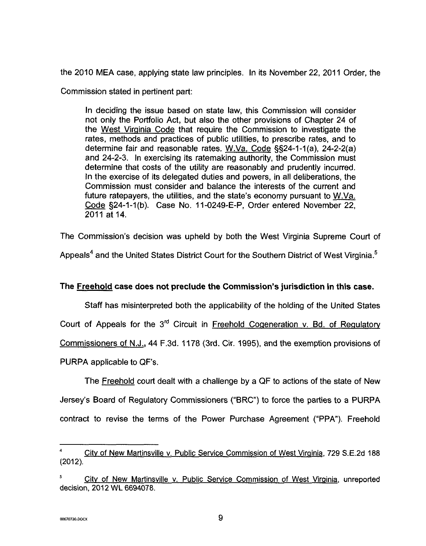the 2010 MEA case, applying state law principles. In its November 22, 2011 Order, the

Commission stated in pertinent part:

In deciding the issue based on state law, this Commission will consider not only the Portfolio Act, but also the other provisions of Chapter 24 of the West Virqinia Code that require the Commission to investigate the rates, methods and practices of public utilities, to prescribe rates, and to determine fair and reasonable rates. W.Va. Code §§24-1-1(a), 24-2-2(a) and 24-2-3. In exercising its ratemaking authority, the Commission must determine that costs of the utility are reasonably and prudently incurred. In the exercise of its delegated duties and powers, in all deliberations, the Commission must consider and balance the interests of the current and future ratepayers, the utilities, and the state's economy pursuant to W.Va. Code §24-1-1(b). Case No. 11-0249-E-P, Order entered November 22, 2011 at 14.

The Commission's decision was upheld by both the West Virginia Supreme Court of

Appeals<sup>4</sup> and the United States District Court for the Southern District of West Virginia.<sup>5</sup>

## **The Freehold case does not preclude the Commission's jurisdiction in this case.**

Staff has misinterpreted both the applicability of the holding of the United States

Court of Appeals for the 3<sup>rd</sup> Circuit in Freehold Cogeneration v. Bd. of Regulatory

Commissioners **of** N.J., 44 F.3d. **1178** (3rd. Cir. 1995), and the exemption provisions of

PURPA applicable to QF's.

The Freehold court dealt with a challenge by a QF to actions of the state of New Jersey's Board of Regulatory Commissioners ("BRC") to force the parties to a PURPA contract to revise the terms of the Power Purchase Agreement ("PPA"). Freehold

**<sup>4</sup>**Citv of New Martinsville v. Public Service Commission of West Virqinia, 729 S.E.2d 188 (2012).

City of New Martinsville v. Public Service Commission of West Virginia, unreported decision, 2012 **WL** 6694078.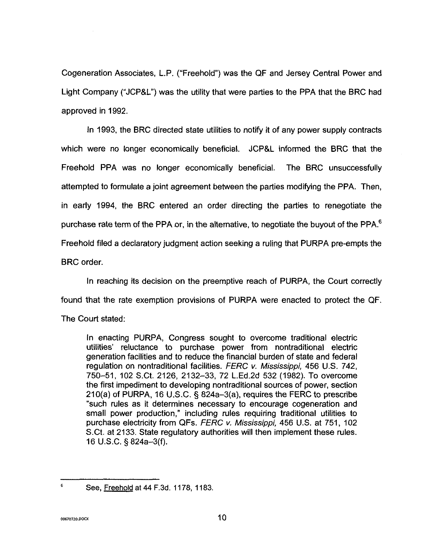Cogeneration Associates, L.P. ("Freehold") was the QF and Jersey Central Power and Light Company ("JCP&L") was the utility that were parties to the PPA that the BRC had approved in 1992.

In 1993, the BRC directed state utilities to notify it of any power supply contracts which were no longer economically beneficial. JCP&L informed the BRC that the Freehold PPA was no longer economically beneficial. The BRC unsuccessfully attempted to formulate a joint agreement between the parties modifying the PPA. Then, in early 1994, the BRC entered an order directing the parties to renegotiate the purchase rate term of the PPA or, in the alternative, to negotiate the buyout of the PPA. $<sup>6</sup>$ </sup> Freehold filed a declaratory judgment action seeking a ruling that PURPA pre-empts the BRC order.

In reaching its decision on the preemptive reach of PURPA, the Court correctly found that the rate exemption provisions of PURPA were enacted to protect the QF. The Court stated:

In enacting PURPA, Congress sought to overcome traditional electric utilities' reluctance to purchase power from nontraditional electric generation facilities and to reduce the financial burden of state and federal regulation on nontraditional facilities. *FERC v. Mississippi,* 456 U.S. 742, 750-51, 102 S.Ct. 2126, 2132-33, 72 L.Ed.2d 532 (1982). To overcome the first impediment to developing nontraditional sources of power, section 210(a) of PURPA, 16 U.S.C. **5** 824a-3(a), requires the FERC to prescribe "such rules as it determines necessary to encourage cogeneration and small power production," including rules requiring traditional utilities to purchase electricity from **QFs.** *FERC v. Mississippi,* 456 U.S. at 751, 102 S.Ct. at 2133. State regulatory authorities will then implement these rules. 16 U.S.C. § 824a-3(f).

**See, Freehold at 44 F.3d. 1178, 1183.** *<sup>6</sup>*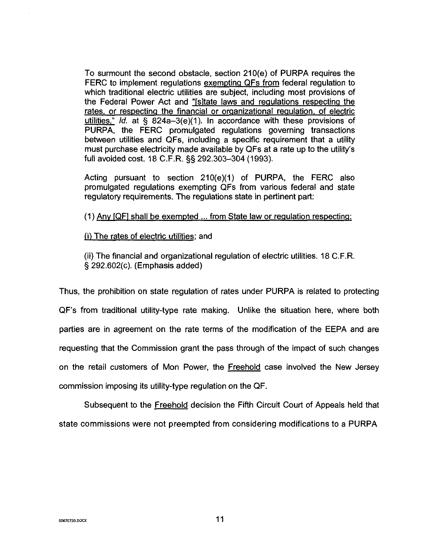To surmount the second obstacle, section 210(e) of PURPA requires the FERC to implement regulations exempting QFs from federal regulation to which traditional electric utilities are subject, including most provisions of the Federal Power Act and "[s]tate laws and regulations respecting the rates, or respecting the financial or organizational requlation. of electric utilities." *Id.* at  $§ 824a-3(e)(1)$ . In accordance with these provisions of PURPA, the FERC promulgated regulations governing transactions between utilities and QFs, including a specific requirement that a utility must purchase electricity made available by QFs at a rate up to the utility's full avoided cost. 18 C.F.R. **55** 292.303-304 (1993).

Acting pursuant to section  $210(e)(1)$  of PURPA, the FERC also promulgated regulations exempting QFs from various federal and state regulatory requirements. The regulations state in pertinent part:

 $(1)$  Any  $[QF]$  shall be exempted ... from State law or regulation respecting:

**ji,** The rates of electric utilities; and

(ii) The financial and organizational regulation of electric utilities. 18 C.F.R. § 292.602(c). (Emphasis added)

Thus, the prohibition on state regulation of rates under PURPA is related to protecting QF's from traditional utility-type rate making. Unlike the situation here, where both parties are in agreement on the rate terms of the modification of the EEPA and are requesting that the Commission grant the pass through of the impact of such changes on the retail customers of Mon Power, the Freehold case involved the New Jersey commission imposing its utility-type regulation on the QF.

Subsequent to the Freehold decision the Fifth Circuit Court of Appeals held that state commissions were not preempted from considering modifications to a PURPA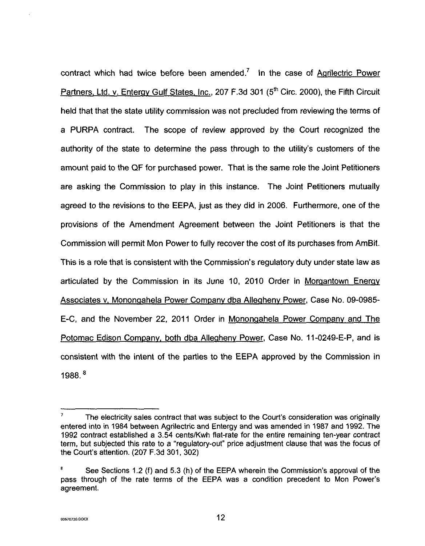contract which had twice before been amended.<sup>7</sup> In the case of Agrilectric Power Partners, Ltd. v. Entergy Gulf States, Inc., 207 F.3d 301 (5<sup>th</sup> Circ. 2000), the Fifth Circuit held that that the state utility commission was not precluded from reviewing the terms of a PURPA contract. The scope *of* review approved by the Court recognized the authority of the state to determine the pass through to the utility's customers of the amount paid to the QF for purchased power. That *is* the same role the Joint Petitioners are asking the Commission to play in this instance. The Joint Petitioners mutually agreed to the revisions to the EEPA, just as they did in 2006. Furthermore, one *of* the provisions of the Amendment Agreement between the Joint Petitioners is that the Commission will permit Mon Power to fully recover the cost of its purchases from AmBit. This is a role that is consistent with the Commission's regulatory duty under state law as articulated by the Commission in its June 10, 2010 Order in Morqantown Eneray Associates v. Monongahela Power Company dba Allegheny Power, Case No. 09-0985-E-C, and the November 22, 2011 Order in Monongahela Power Company and The Potomac Edison Company, both dba Allegheny Power, Case No. 11-0249-E-P, and is consistent with the intent of the parties to the EEPA approved by the Commission in 1988. *<sup>E</sup>*

The electricity sales contract that was subject to the Court's consideration was originally entered into in 1984 between Agrilectric and Entergy and was amended in 1987 and 1992. The 1992 contract established a 3.54 centslKwh flat-rate for the entire remaining ten-year contract term, but subjected this rate to a "regulatory-out" price adjustment clause that was the focus of the Court's attention. (207 **F.3d** 301, 302) **7** 

See Sections 1.2 (f) and 5.3 (h) of the EEPA wherein the Commission's approval of the pass through of the rate terms of the EEPA was a condition precedent to Mon Power's agreement. *8*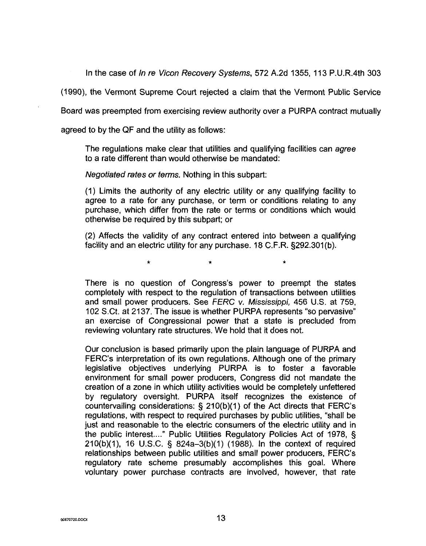In the case of in re Vicon Recovery Systems, 572 A.2d 1355, 113 P.U.R.4th 303

(1990), the Vermont Supreme Court rejected a claim that the Vermont Public Service

Board was preempted from exercising review authority over a PURPA contract mutually

agreed to by the QF and the utility as follows:

The regulations make clear that utilities and qualifying facilities can agree to a rate different than would otherwise be mandated:

Negotiated rates or terms. Nothing in this subpart:

(1) Limits the authority of any electric utility or any qualifying facility to agree to a rate for any purchase, or term or conditions relating to any purchase, which differ from the rate or terms or conditions which would otherwise be required by this subpart; or

(2) Affects the validity of any contract entered into between a qualifying facility and an electric utility for any purchase. 18 C.F.R. §292.301(b).

 $\star$   $\star$   $\star$ 

There is no question of Congress's power to preempt the states completely with respect to the regulation of transactions between utilities and small power producers. See FERC v. Mississippi, 456 U.S. at 759, 102 S.Ct. at 2137. The issue is whether PURPA represents "so pervasive" an exercise of Congressional power that a state is precluded from reviewing voluntary rate structures. We hold that it does not.

Our conclusion is based primarily upon the plain language of PURPA and FERC's interpretation of its own regulations. Although one of the primary legislative objectives underlying PURPA is to foster a favorable environment for small power producers, Congress did not mandate the creation of a zone in which utility activities would be completely unfettered by regulatory oversight. PURPA itself recognizes the existence of countervailing considerations:  $\S$  210(b)(1) of the Act directs that FERC's regulations, with respect to required purchases by public utilities, "shall be just and reasonable to the electric consumers of the electric utility and in the public interest...." Public Utilities Regulatory Policies Act of 1978, § 210(b)(1), 16 U.S.C. § 824a-3(b)(1) (1988). In the context of required relationships between public utilities and small power producers, FERC's regulatory rate scheme presumably accomplishes this goal. Where voluntary power purchase contracts are involved, however, that rate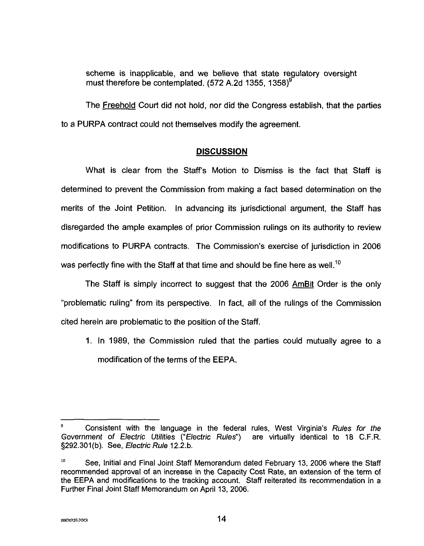scheme is inapplicable, and we believe that state regulatory oversight must therefore be contemplated.  $(572 \text{ A}.2d \text{ 1355}, 1358)^9$ 

The Freehold Court did not hold, nor did the Congress establish, that the parties to a PURPA contract could not themselves modify the agreement.

## **DISCUSSION**

What is clear from the Staff's Motion to Dismiss is the fact that Staff is determined to prevent the Commission from making a fact based determination on the merits of the Joint Petition. In advancing its jurisdictional argument, the Staff has disregarded the ample examples of prior Commission rulings on its authority to review modifications to PURPA contracts. The Commission's exercise of jurisdiction in 2006 was perfectly fine with the Staff at that time and should be fine here as well.<sup>10</sup>

The Staff is simply incorrect to suggest that the 2006 *AmBit* Order is the only "problematic ruling" from its perspective. In fact, all of the rulings of the Commission cited herein are problematic to the position of the Staff.

**1.** In 1989, the Commission ruled that the parties could mutually agree to a modification of the terms of the EEPA.

Consistent with the language in the federal rules, West Virginia's Rules for fhe Government of Electric Ufilifies ("Elecfric Rules") are virtually identical to 18 C.F.R. §292.301(b). See, Electric Rule 12.2.b. **9** 

 $\bf{10}$ See, Initial and Final Joint Staff Memorandum dated February 13, 2006 where the Staff recommended approval of an increase in the Capacity Cost Rate, an extension of the term of the EEPA and modifications to the tracking account. Staff reiterated its recommendation in a Further Final Joint Staff Memorandum on April 13, 2006.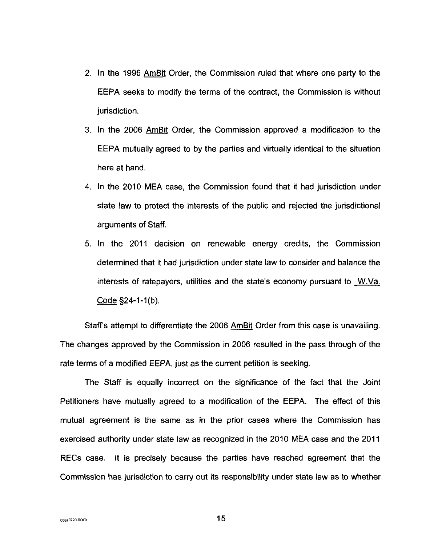- 2. In the 1996 *AmBit* Order, the Commission ruled that where one party to the EEPA seeks to modify the terms of the contract, the Commission is without jurisdiction.
- 3. In the 2006 *AmBit* Order, the Commission approved a modification to the EEPA mutually agreed to by the parties and virtually identical to the situation here at hand.
- **4.** In the 2010 MEA case, the Commission found that it had jurisdiction under state law to protect the interests of the public and rejected the jurisdictional arguments of Staff.
- **5.** In the 2011 decision on renewable energy credits, the Commission determined that it had jurisdiction under state law to consider and balance the interests of ratepayers, utilities and the state's economy pursuant to W.Va.  $\frac{1}{2011}$  determined that it interests of ratepation

Staff's attempt to differentiate the 2006 *AmBit* Order from this case is unavailing. The changes approved by the Commission in 2006 resulted in the pass through of the rate terms of a modified EEPA, just as the current petition is seeking.

The Staff is equally incorrect on the significance of the fact that the Joint Petitioners have mutually agreed to a modification of the EEPA. The effect of this mutual agreement is the same as in the prior cases where the Commission has exercised authority under state law as recognized in the 2010 MEA case and the 2011 RECs case. It is precisely because the parties have reached agreement that the Commission has jurisdiction **to** carry out its responsibility under state law as to whether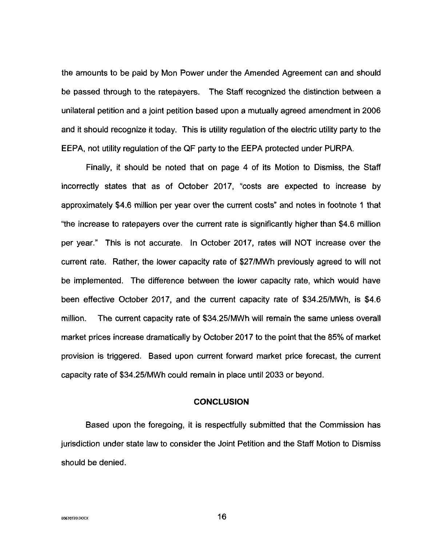the amounts to be paid by Mon Power under the Amended Agreement can and should be passed through to the ratepayers. The Staff recognized the distinction between a unilateral petition and a joint petition based upon a mutually agreed amendment in 2006 and it should recognize it today. This is utility regulation of the electric utility party to the EEPA, not utility regulation of the QF party to the EEPA protected under PURPA.

Finally, it should be noted that on [page 4](#page-4-0) of its Motion to Dismiss, the Staff incorrectly states that as of October 2017, "costs are expected to increase by approximately \$4.6 million per year over the current costs" and notes in footnote **1** that "the increase to ratepayers over the current rate is significantly higher than \$4.6 million per year." This is not accurate. In October 2017, rates will NOT increase over the current rate. Rather, the lower capacity rate of \$27/MWh previously agreed to will not be implemented. The difference between the lower capacity rate, which would have been effective October 2017, and the current capacity rate of \$34.25/MWh, is \$4.6 million. The current capacity rate of \$34.251MWh will remain the same unless overall market prices increase dramatically by October **201** 7 to the point that the 85% of market provision is triggered. Based upon current forward market price forecast, the current capacity rate of \$34.25/MWh could remain in place until 2033 or beyond.

### **CONCLUSION**

Based upon the foregoing, it is respectfully submitted that the Commission has jurisdiction under state law to consider the Joint Petition and the Staff Motion to Dismiss should be denied.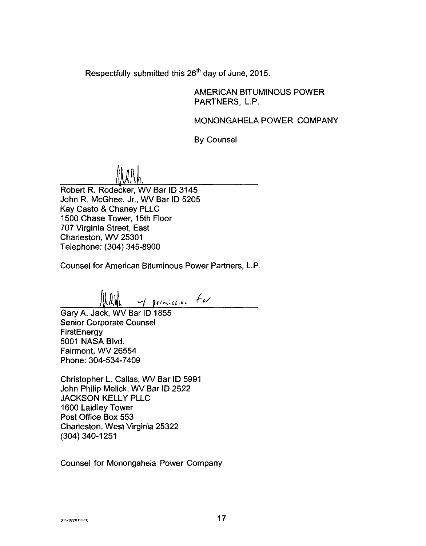Respectfully submitted this 26'h day of June, 2015.

AMERICAN BITUMINOUS POWER PARTNERS. L.P.

MONONGAHELA POWER COMPANY

By Counsel

<u>[||\/\.`\</u>

Robert R. Rodecker, WV Bar ID 3145 John R. McGhee, Jr., WV Bar **ID** 5205 Kay Casto & Chaney PLLC 1500 Chase Tower, 15th Floor 707 Virginia Street, East Charleston, WV 25301 Telephone: (304) 345-8900

Counsel for American Bituminous Power Partners, L.P.

*-1* **plI-:lI;&.** .t'/

Garv A. Jack. WV Bar ID 1855 Senior Corporate Counsel **FirstEnergy** 5001 NASA Blvd. Fairmont, WV 26554 Phone: 304-534-7409

Christopher L. Callas, WV Bar ID 5991 John Philip Melick, WV Bar ID 2522 JACKSON KELLY PLLC 1600 Laidley Tower Post Office Box 553 Charleston, West Virginia 25322 (304) 340-1251

Counsel for Monongahela Power Company